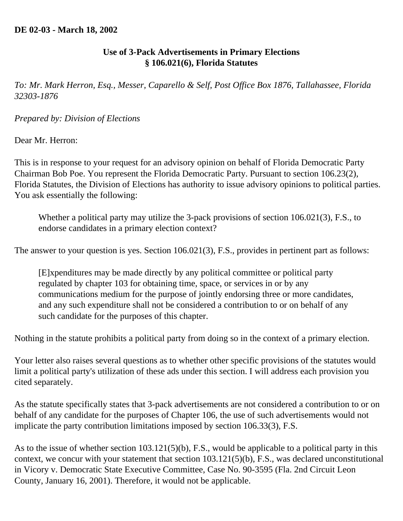## **Use of 3-Pack Advertisements in Primary Elections § 106.021(6), Florida Statutes**

*To: Mr. Mark Herron, Esq., Messer, Caparello & Self, Post Office Box 1876, Tallahassee, Florida 32303-1876* 

## *Prepared by: Division of Elections*

## Dear Mr. Herron:

This is in response to your request for an advisory opinion on behalf of Florida Democratic Party Chairman Bob Poe. You represent the Florida Democratic Party. Pursuant to section 106.23(2), Florida Statutes, the Division of Elections has authority to issue advisory opinions to political parties. You ask essentially the following:

Whether a political party may utilize the 3-pack provisions of section 106.021(3), F.S., to endorse candidates in a primary election context?

The answer to your question is yes. Section 106.021(3), F.S., provides in pertinent part as follows:

[E]xpenditures may be made directly by any political committee or political party regulated by chapter 103 for obtaining time, space, or services in or by any communications medium for the purpose of jointly endorsing three or more candidates, and any such expenditure shall not be considered a contribution to or on behalf of any such candidate for the purposes of this chapter.

Nothing in the statute prohibits a political party from doing so in the context of a primary election.

Your letter also raises several questions as to whether other specific provisions of the statutes would limit a political party's utilization of these ads under this section. I will address each provision you cited separately.

As the statute specifically states that 3-pack advertisements are not considered a contribution to or on behalf of any candidate for the purposes of Chapter 106, the use of such advertisements would not implicate the party contribution limitations imposed by section 106.33(3), F.S.

As to the issue of whether section 103.121(5)(b), F.S., would be applicable to a political party in this context, we concur with your statement that section 103.121(5)(b), F.S., was declared unconstitutional in Vicory v. Democratic State Executive Committee, Case No. 90-3595 (Fla. 2nd Circuit Leon County, January 16, 2001). Therefore, it would not be applicable.